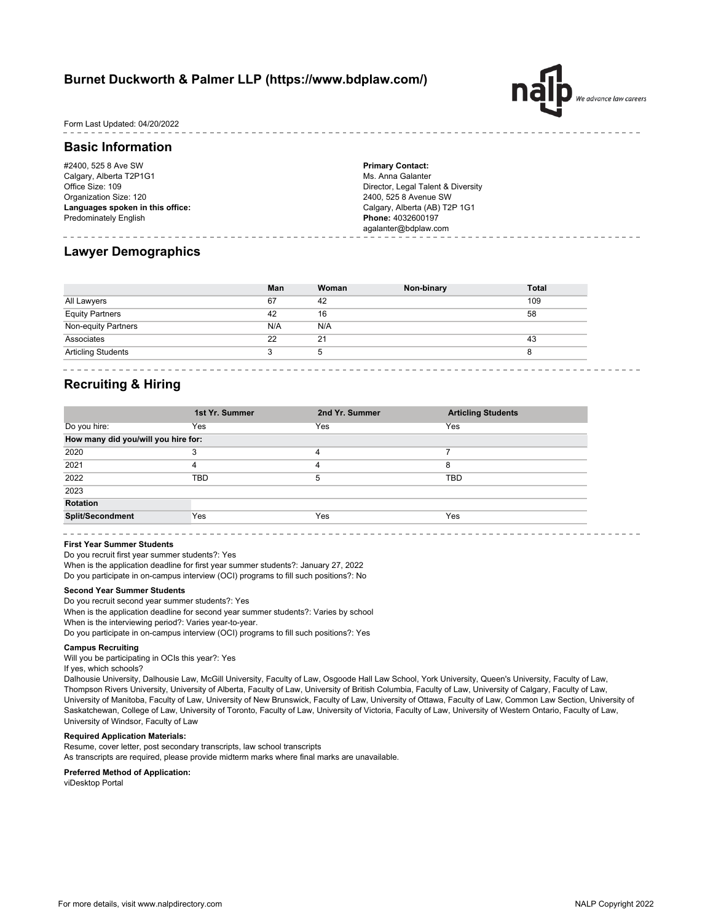# **Burnet Duckworth & Palmer LLP (https://www.bdplaw.com/)**

Form Last Updated: 04/20/2022

## **Basic Information**

#2400, 525 8 Ave SW Calgary, Alberta T2P1G1 Office Size: 109 Organization Size: 120 **Languages spoken in this office:** Predominately English

**Primary Contact:** Ms. Anna Galanter Director, Legal Talent & Diversity 2400, 525 8 Avenue SW Calgary, Alberta (AB) T2P 1G1 **Phone:** 4032600197 agalanter@bdplaw.com

# **Lawyer Demographics**

|                           | Man | Woman | Non-binary | <b>Total</b> |
|---------------------------|-----|-------|------------|--------------|
| All Lawyers               | 67  | 42    |            | 109          |
| <b>Equity Partners</b>    | 42  | 16    |            | 58           |
| Non-equity Partners       | N/A | N/A   |            |              |
| Associates                | 22  | 21    |            | 43           |
| <b>Articling Students</b> |     | 5     |            |              |

# **Recruiting & Hiring**

|                                     | 1st Yr. Summer | 2nd Yr. Summer | <b>Articling Students</b> |  |
|-------------------------------------|----------------|----------------|---------------------------|--|
| Do you hire:                        | Yes            | Yes            | Yes                       |  |
| How many did you/will you hire for: |                |                |                           |  |
| 2020                                | З              | 4              |                           |  |
| 2021                                | 4              | 4              | 8                         |  |
| 2022                                | TBD            | 5              | <b>TBD</b>                |  |
| 2023                                |                |                |                           |  |
| <b>Rotation</b>                     |                |                |                           |  |
| <b>Split/Secondment</b>             | Yes            | Yes            | Yes                       |  |
|                                     |                |                |                           |  |

#### **First Year Summer Students**

Do you recruit first year summer students?: Yes

When is the application deadline for first year summer students?: January 27, 2022

Do you participate in on-campus interview (OCI) programs to fill such positions?: No

#### **Second Year Summer Students**

When is the application deadline for second year summer students?: Varies by school When is the interviewing period?: Varies year-to-year. Do you participate in on-campus interview (OCI) programs to fill such positions?: Yes Do you recruit second year summer students?: Yes

#### **Campus Recruiting**

Will you be participating in OCIs this year?: Yes

If yes, which schools?

Dalhousie University, Dalhousie Law, McGill University, Faculty of Law, Osgoode Hall Law School, York University, Queen's University, Faculty of Law, Thompson Rivers University, University of Alberta, Faculty of Law, University of British Columbia, Faculty of Law, University of Calgary, Faculty of Law, University of Manitoba, Faculty of Law, University of New Brunswick, Faculty of Law, University of Ottawa, Faculty of Law, Common Law Section, University of Saskatchewan, College of Law, University of Toronto, Faculty of Law, University of Victoria, Faculty of Law, University of Western Ontario, Faculty of Law, University of Windsor, Faculty of Law

#### **Required Application Materials:**

Resume, cover letter, post secondary transcripts, law school transcripts

As transcripts are required, please provide midterm marks where final marks are unavailable.

#### **Preferred Method of Application:**

viDesktop Portal

.<br>We advance law careers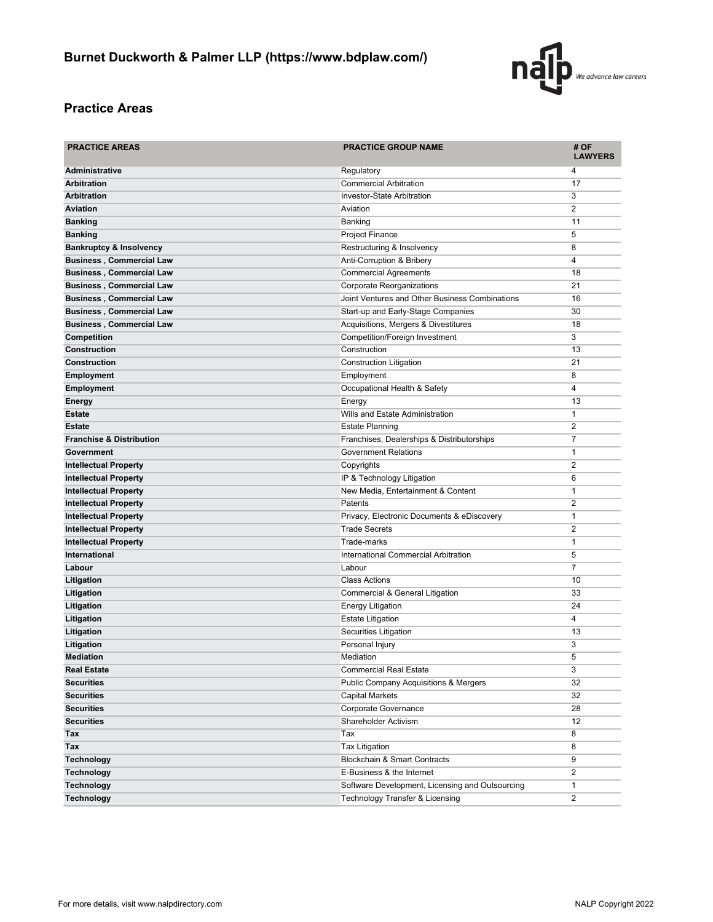

# **Practice Areas**

| <b>PRACTICE AREAS</b>               | <b>PRACTICE GROUP NAME</b>                       | # OF<br><b>LAWYERS</b> |
|-------------------------------------|--------------------------------------------------|------------------------|
| <b>Administrative</b>               | Regulatory                                       | 4                      |
| <b>Arbitration</b>                  | <b>Commercial Arbitration</b>                    | 17                     |
| <b>Arbitration</b>                  | Investor-State Arbitration                       | 3                      |
| <b>Aviation</b>                     | Aviation                                         | 2                      |
| <b>Banking</b>                      | Banking                                          | 11                     |
| <b>Banking</b>                      | Project Finance                                  | 5                      |
| <b>Bankruptcy &amp; Insolvency</b>  | Restructuring & Insolvency                       | 8                      |
| <b>Business, Commercial Law</b>     | Anti-Corruption & Bribery                        | 4                      |
| <b>Business, Commercial Law</b>     | <b>Commercial Agreements</b>                     | 18                     |
| <b>Business, Commercial Law</b>     | Corporate Reorganizations                        | 21                     |
| <b>Business, Commercial Law</b>     | Joint Ventures and Other Business Combinations   | 16                     |
| <b>Business, Commercial Law</b>     | Start-up and Early-Stage Companies               | 30                     |
| <b>Business, Commercial Law</b>     | Acquisitions, Mergers & Divestitures             | 18                     |
| <b>Competition</b>                  | Competition/Foreign Investment                   | 3                      |
| <b>Construction</b>                 | Construction                                     | 13                     |
| <b>Construction</b>                 | <b>Construction Litigation</b>                   | 21                     |
| <b>Employment</b>                   | Employment                                       | 8                      |
| <b>Employment</b>                   | Occupational Health & Safety                     | 4                      |
| Energy                              | Energy                                           | 13                     |
| <b>Estate</b>                       | Wills and Estate Administration                  | $\mathbf{1}$           |
| <b>Estate</b>                       | <b>Estate Planning</b>                           | 2                      |
| <b>Franchise &amp; Distribution</b> | Franchises, Dealerships & Distributorships       | 7                      |
| Government                          | <b>Government Relations</b>                      | $\mathbf{1}$           |
| <b>Intellectual Property</b>        | Copyrights                                       | 2                      |
| <b>Intellectual Property</b>        | IP & Technology Litigation                       | 6                      |
| <b>Intellectual Property</b>        | New Media, Entertainment & Content               | $\mathbf{1}$           |
| <b>Intellectual Property</b>        | Patents                                          | 2                      |
| <b>Intellectual Property</b>        | Privacy, Electronic Documents & eDiscovery       | 1                      |
| <b>Intellectual Property</b>        | <b>Trade Secrets</b>                             | $\overline{2}$         |
| <b>Intellectual Property</b>        | Trade-marks                                      | 1                      |
| <b>International</b>                | International Commercial Arbitration             | 5                      |
| Labour                              | Labour                                           | 7                      |
| Litigation                          | <b>Class Actions</b>                             | 10                     |
| Litigation                          | Commercial & General Litigation                  | 33                     |
| Litigation                          | <b>Energy Litigation</b>                         | 24                     |
| Litigation                          | <b>Estate Litigation</b>                         | 4                      |
| Litigation                          | Securities Litigation                            | 13                     |
| Litigation                          | Personal Injury                                  | 3                      |
| <b>Mediation</b>                    | Mediation                                        | 5                      |
| <b>Real Estate</b>                  | <b>Commercial Real Estate</b>                    | 3                      |
| <b>Securities</b>                   | <b>Public Company Acquisitions &amp; Mergers</b> | 32                     |
| <b>Securities</b>                   | Capital Markets                                  | 32                     |
| <b>Securities</b>                   | Corporate Governance                             | 28                     |
| <b>Securities</b>                   | Shareholder Activism                             | 12                     |
| Tax                                 | Tax                                              | 8                      |
| Tax                                 | <b>Tax Litigation</b>                            | 8                      |
| <b>Technology</b>                   | Blockchain & Smart Contracts                     | 9                      |
| <b>Technology</b>                   | E-Business & the Internet                        | 2                      |
| <b>Technology</b>                   | Software Development, Licensing and Outsourcing  | 1                      |
| <b>Technology</b>                   | <b>Technology Transfer &amp; Licensing</b>       | 2                      |